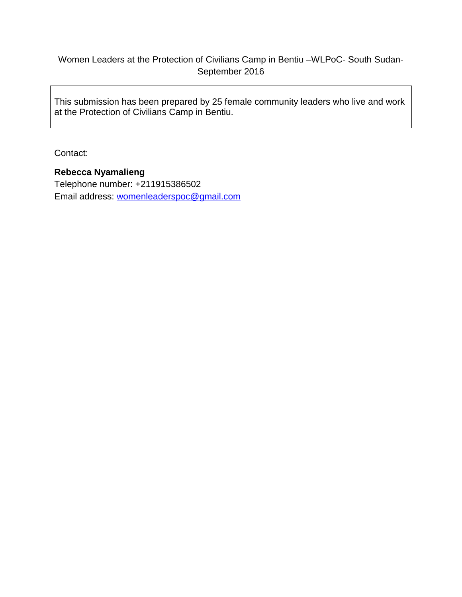# Women Leaders at the Protection of Civilians Camp in Bentiu –WLPoC- South Sudan-September 2016

This submission has been prepared by 25 female community leaders who live and work at the Protection of Civilians Camp in Bentiu.

Contact:

## **Rebecca Nyamalieng**

Telephone number: +211915386502 Email address: [womenleaderspoc@gmail.com](mailto:womenleaderspoc@gmail.com)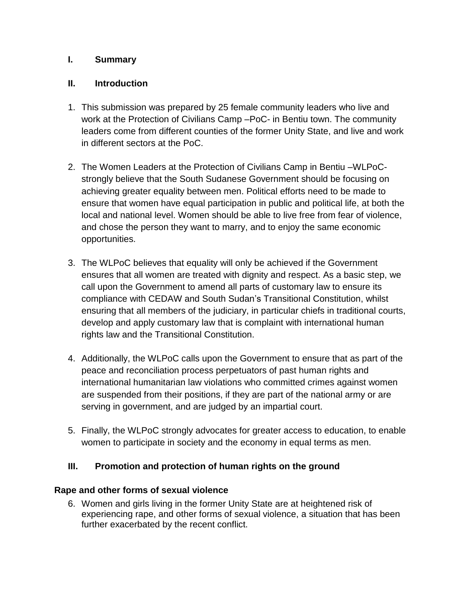### **I. Summary**

### **II. Introduction**

- 1. This submission was prepared by 25 female community leaders who live and work at the Protection of Civilians Camp –PoC- in Bentiu town. The community leaders come from different counties of the former Unity State, and live and work in different sectors at the PoC.
- 2. The Women Leaders at the Protection of Civilians Camp in Bentiu –WLPoCstrongly believe that the South Sudanese Government should be focusing on achieving greater equality between men. Political efforts need to be made to ensure that women have equal participation in public and political life, at both the local and national level. Women should be able to live free from fear of violence, and chose the person they want to marry, and to enjoy the same economic opportunities.
- 3. The WLPoC believes that equality will only be achieved if the Government ensures that all women are treated with dignity and respect. As a basic step, we call upon the Government to amend all parts of customary law to ensure its compliance with CEDAW and South Sudan's Transitional Constitution, whilst ensuring that all members of the judiciary, in particular chiefs in traditional courts, develop and apply customary law that is complaint with international human rights law and the Transitional Constitution.
- 4. Additionally, the WLPoC calls upon the Government to ensure that as part of the peace and reconciliation process perpetuators of past human rights and international humanitarian law violations who committed crimes against women are suspended from their positions, if they are part of the national army or are serving in government, and are judged by an impartial court.
- 5. Finally, the WLPoC strongly advocates for greater access to education, to enable women to participate in society and the economy in equal terms as men.

### **III. Promotion and protection of human rights on the ground**

#### **Rape and other forms of sexual violence**

6. Women and girls living in the former Unity State are at heightened risk of experiencing rape, and other forms of sexual violence, a situation that has been further exacerbated by the recent conflict.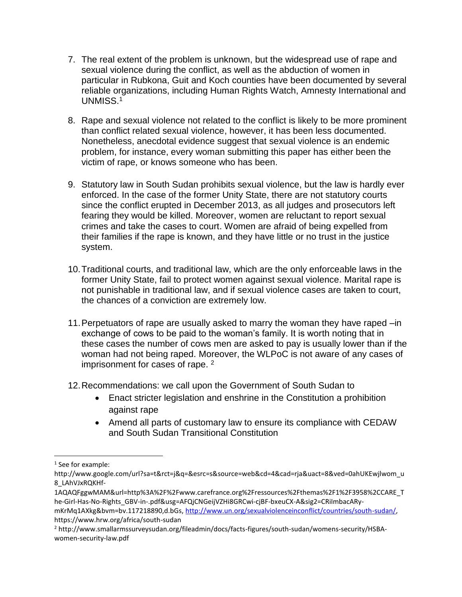- 7. The real extent of the problem is unknown, but the widespread use of rape and sexual violence during the conflict, as well as the abduction of women in particular in Rubkona, Guit and Koch counties have been documented by several reliable organizations, including Human Rights Watch, Amnesty International and UNMISS.<sup>1</sup>
- 8. Rape and sexual violence not related to the conflict is likely to be more prominent than conflict related sexual violence, however, it has been less documented. Nonetheless, anecdotal evidence suggest that sexual violence is an endemic problem, for instance, every woman submitting this paper has either been the victim of rape, or knows someone who has been.
- 9. Statutory law in South Sudan prohibits sexual violence, but the law is hardly ever enforced. In the case of the former Unity State, there are not statutory courts since the conflict erupted in December 2013, as all judges and prosecutors left fearing they would be killed. Moreover, women are reluctant to report sexual crimes and take the cases to court. Women are afraid of being expelled from their families if the rape is known, and they have little or no trust in the justice system.
- 10.Traditional courts, and traditional law, which are the only enforceable laws in the former Unity State, fail to protect women against sexual violence. Marital rape is not punishable in traditional law, and if sexual violence cases are taken to court, the chances of a conviction are extremely low.
- 11.Perpetuators of rape are usually asked to marry the woman they have raped –in exchange of cows to be paid to the woman's family. It is worth noting that in these cases the number of cows men are asked to pay is usually lower than if the woman had not being raped. Moreover, the WLPoC is not aware of any cases of imprisonment for cases of rape. <sup>2</sup>
- 12.Recommendations: we call upon the Government of South Sudan to
	- Enact stricter legislation and enshrine in the Constitution a prohibition against rape
	- Amend all parts of customary law to ensure its compliance with CEDAW and South Sudan Transitional Constitution

 $\overline{\phantom{a}}$ 

<sup>1</sup> See for example:

http://www.google.com/url?sa=t&rct=j&q=&esrc=s&source=web&cd=4&cad=rja&uact=8&ved=0ahUKEwjlwom\_u 8\_LAhVJxRQKHf-

<sup>1</sup>AQAQFggwMAM&url=http%3A%2F%2Fwww.carefrance.org%2Fressources%2Fthemas%2F1%2F3958%2CCARE\_T he-Girl-Has-No-Rights\_GBV-in-.pdf&usg=AFQjCNGeijVZHi8GRCwi-cjBF-bxeuCX-A&sig2=CRiImbacARy-

mKrMq1AXkg&bvm=bv.117218890,d.bGs, [http://www.un.org/sexualviolenceinconflict/countries/south-sudan/,](http://www.un.org/sexualviolenceinconflict/countries/south-sudan/) https://www.hrw.org/africa/south-sudan

<sup>2</sup> http://www.smallarmssurveysudan.org/fileadmin/docs/facts-figures/south-sudan/womens-security/HSBAwomen-security-law.pdf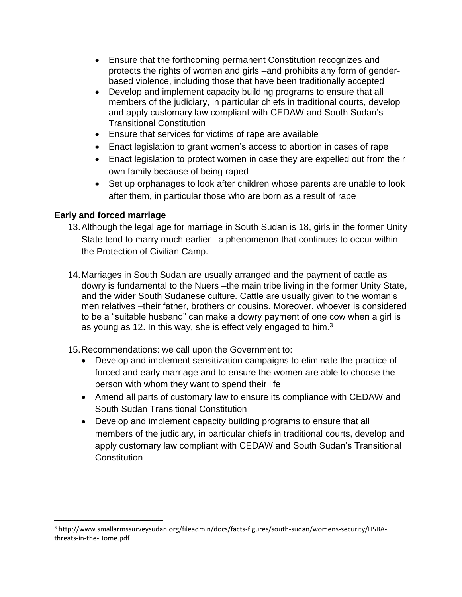- Ensure that the forthcoming permanent Constitution recognizes and protects the rights of women and girls –and prohibits any form of genderbased violence, including those that have been traditionally accepted
- Develop and implement capacity building programs to ensure that all members of the judiciary, in particular chiefs in traditional courts, develop and apply customary law compliant with CEDAW and South Sudan's Transitional Constitution
- Ensure that services for victims of rape are available
- Enact legislation to grant women's access to abortion in cases of rape
- Enact legislation to protect women in case they are expelled out from their own family because of being raped
- Set up orphanages to look after children whose parents are unable to look after them, in particular those who are born as a result of rape

### **Early and forced marriage**

l

- 13.Although the legal age for marriage in South Sudan is 18, girls in the former Unity State tend to marry much earlier –a phenomenon that continues to occur within the Protection of Civilian Camp.
- 14.Marriages in South Sudan are usually arranged and the payment of cattle as dowry is fundamental to the Nuers –the main tribe living in the former Unity State, and the wider South Sudanese culture. Cattle are usually given to the woman's men relatives –their father, brothers or cousins. Moreover, whoever is considered to be a "suitable husband" can make a dowry payment of one cow when a girl is as young as 12. In this way, she is effectively engaged to him.<sup>3</sup>
- 15.Recommendations: we call upon the Government to:
	- Develop and implement sensitization campaigns to eliminate the practice of forced and early marriage and to ensure the women are able to choose the person with whom they want to spend their life
	- Amend all parts of customary law to ensure its compliance with CEDAW and South Sudan Transitional Constitution
	- Develop and implement capacity building programs to ensure that all members of the judiciary, in particular chiefs in traditional courts, develop and apply customary law compliant with CEDAW and South Sudan's Transitional **Constitution**

<sup>3</sup> http://www.smallarmssurveysudan.org/fileadmin/docs/facts-figures/south-sudan/womens-security/HSBAthreats-in-the-Home.pdf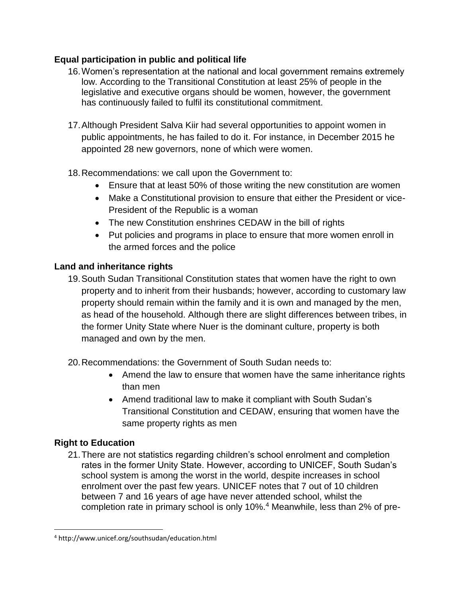# **Equal participation in public and political life**

- 16.Women's representation at the national and local government remains extremely low. According to the Transitional Constitution at least 25% of people in the legislative and executive organs should be women, however, the government has continuously failed to fulfil its constitutional commitment.
- 17.Although President Salva Kiir had several opportunities to appoint women in public appointments, he has failed to do it. For instance, in December 2015 he appointed 28 new governors, none of which were women.
- 18.Recommendations: we call upon the Government to:
	- Ensure that at least 50% of those writing the new constitution are women
	- Make a Constitutional provision to ensure that either the President or vice-President of the Republic is a woman
	- The new Constitution enshrines CEDAW in the bill of rights
	- Put policies and programs in place to ensure that more women enroll in the armed forces and the police

## **Land and inheritance rights**

- 19.South Sudan Transitional Constitution states that women have the right to own property and to inherit from their husbands; however, according to customary law property should remain within the family and it is own and managed by the men, as head of the household. Although there are slight differences between tribes, in the former Unity State where Nuer is the dominant culture, property is both managed and own by the men.
- 20.Recommendations: the Government of South Sudan needs to:
	- Amend the law to ensure that women have the same inheritance rights than men
	- Amend traditional law to make it compliant with South Sudan's Transitional Constitution and CEDAW, ensuring that women have the same property rights as men

# **Right to Education**

 $\overline{\phantom{a}}$ 

21.There are not statistics regarding children's school enrolment and completion rates in the former Unity State. However, according to UNICEF, South Sudan's school system is among the worst in the world, despite increases in school enrolment over the past few years. UNICEF notes that 7 out of 10 children between 7 and 16 years of age have never attended school, whilst the completion rate in primary school is only 10%.<sup>4</sup> Meanwhile, less than 2% of pre-

<sup>4</sup> http://www.unicef.org/southsudan/education.html